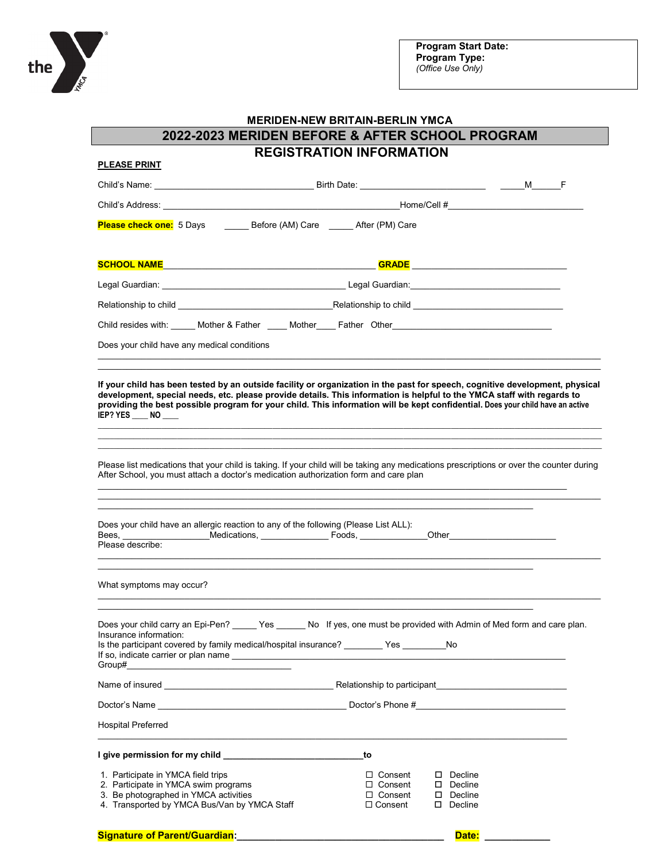

|                                                                                                                                                                                                                                                                                                                                                                                                                                                  | 2022-2023 MERIDEN BEFORE & AFTER SCHOOL PROGRAM                      |                                                                        |  |
|--------------------------------------------------------------------------------------------------------------------------------------------------------------------------------------------------------------------------------------------------------------------------------------------------------------------------------------------------------------------------------------------------------------------------------------------------|----------------------------------------------------------------------|------------------------------------------------------------------------|--|
|                                                                                                                                                                                                                                                                                                                                                                                                                                                  | <b>REGISTRATION INFORMATION</b>                                      |                                                                        |  |
| <b>PLEASE PRINT</b>                                                                                                                                                                                                                                                                                                                                                                                                                              |                                                                      |                                                                        |  |
|                                                                                                                                                                                                                                                                                                                                                                                                                                                  |                                                                      |                                                                        |  |
| Child's Address: the contract of the contract of the contract of the contract of the contract of the contract of the contract of the contract of the contract of the contract of the contract of the contract of the contract                                                                                                                                                                                                                    |                                                                      |                                                                        |  |
| Please check one: 5 Days _______ Before (AM) Care ___ After (PM) Care                                                                                                                                                                                                                                                                                                                                                                            |                                                                      |                                                                        |  |
|                                                                                                                                                                                                                                                                                                                                                                                                                                                  |                                                                      |                                                                        |  |
|                                                                                                                                                                                                                                                                                                                                                                                                                                                  |                                                                      |                                                                        |  |
|                                                                                                                                                                                                                                                                                                                                                                                                                                                  |                                                                      |                                                                        |  |
| Child resides with: _____ Mother & Father _____ Mother____ Father Other_____________________________                                                                                                                                                                                                                                                                                                                                             |                                                                      |                                                                        |  |
| Does your child have any medical conditions                                                                                                                                                                                                                                                                                                                                                                                                      |                                                                      |                                                                        |  |
| providing the best possible program for your child. This information will be kept confidential. Does your child have an active<br>IEP? YES NO                                                                                                                                                                                                                                                                                                    |                                                                      |                                                                        |  |
| Please list medications that your child is taking. If your child will be taking any medications prescriptions or over the counter during<br>After School, you must attach a doctor's medication authorization form and care plan                                                                                                                                                                                                                 |                                                                      |                                                                        |  |
|                                                                                                                                                                                                                                                                                                                                                                                                                                                  |                                                                      |                                                                        |  |
|                                                                                                                                                                                                                                                                                                                                                                                                                                                  |                                                                      |                                                                        |  |
| Does your child have an allergic reaction to any of the following (Please List ALL):<br>Bees, __________________Medications, _________________Foods, _____________Other____________________<br>Please describe:<br>What symptoms may occur?                                                                                                                                                                                                      |                                                                      |                                                                        |  |
|                                                                                                                                                                                                                                                                                                                                                                                                                                                  |                                                                      |                                                                        |  |
|                                                                                                                                                                                                                                                                                                                                                                                                                                                  |                                                                      |                                                                        |  |
|                                                                                                                                                                                                                                                                                                                                                                                                                                                  |                                                                      |                                                                        |  |
|                                                                                                                                                                                                                                                                                                                                                                                                                                                  |                                                                      |                                                                        |  |
|                                                                                                                                                                                                                                                                                                                                                                                                                                                  | to                                                                   |                                                                        |  |
| Does your child carry an Epi-Pen? Yes No If yes, one must be provided with Admin of Med form and care plan.<br>Insurance information:<br>Is the participant covered by family medical/hospital insurance? ________ Yes _________No<br>Group#<br><b>Hospital Preferred</b><br>1. Participate in YMCA field trips<br>2. Participate in YMCA swim programs<br>3. Be photographed in YMCA activities<br>4. Transported by YMCA Bus/Van by YMCA Staff | $\Box$ Consent<br>$\Box$ Consent<br>$\Box$ Consent<br>$\Box$ Consent | $\square$ Decline<br>Decline<br>$\square$ Decline<br>$\square$ Decline |  |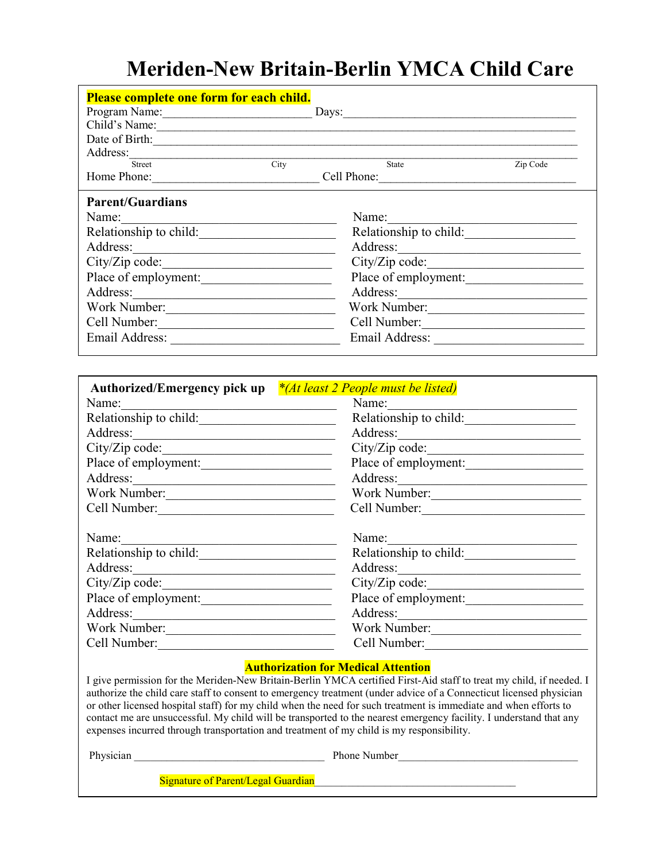# **Meriden-New Britain-Berlin YMCA Child Care**

| Please complete one form for each child.                                                                                                                                                                                                                                                                                                                                                                                                                 |                                                                                                                                                                   |  |
|----------------------------------------------------------------------------------------------------------------------------------------------------------------------------------------------------------------------------------------------------------------------------------------------------------------------------------------------------------------------------------------------------------------------------------------------------------|-------------------------------------------------------------------------------------------------------------------------------------------------------------------|--|
| Program Name: Days: Days:                                                                                                                                                                                                                                                                                                                                                                                                                                |                                                                                                                                                                   |  |
|                                                                                                                                                                                                                                                                                                                                                                                                                                                          |                                                                                                                                                                   |  |
|                                                                                                                                                                                                                                                                                                                                                                                                                                                          |                                                                                                                                                                   |  |
| Address: Street City Sta                                                                                                                                                                                                                                                                                                                                                                                                                                 | Zip Code<br>State                                                                                                                                                 |  |
| Home Phone: Cell Phone: Cell Phone:                                                                                                                                                                                                                                                                                                                                                                                                                      |                                                                                                                                                                   |  |
| <b>Parent/Guardians</b>                                                                                                                                                                                                                                                                                                                                                                                                                                  |                                                                                                                                                                   |  |
| Name:                                                                                                                                                                                                                                                                                                                                                                                                                                                    | Name:                                                                                                                                                             |  |
| Relationship to child:                                                                                                                                                                                                                                                                                                                                                                                                                                   | Relationship to child:                                                                                                                                            |  |
| Address: 2008                                                                                                                                                                                                                                                                                                                                                                                                                                            |                                                                                                                                                                   |  |
|                                                                                                                                                                                                                                                                                                                                                                                                                                                          |                                                                                                                                                                   |  |
| Place of employment:                                                                                                                                                                                                                                                                                                                                                                                                                                     | Place of employment:                                                                                                                                              |  |
| Address:                                                                                                                                                                                                                                                                                                                                                                                                                                                 |                                                                                                                                                                   |  |
| Work Number:                                                                                                                                                                                                                                                                                                                                                                                                                                             | Work Number:                                                                                                                                                      |  |
| Cell Number:                                                                                                                                                                                                                                                                                                                                                                                                                                             | Cell Number:                                                                                                                                                      |  |
|                                                                                                                                                                                                                                                                                                                                                                                                                                                          |                                                                                                                                                                   |  |
|                                                                                                                                                                                                                                                                                                                                                                                                                                                          |                                                                                                                                                                   |  |
| Authorized/Emergency pick up <sup>*</sup> / <i>At least 2 People must be listed</i> )                                                                                                                                                                                                                                                                                                                                                                    |                                                                                                                                                                   |  |
| Name:                                                                                                                                                                                                                                                                                                                                                                                                                                                    | Name:                                                                                                                                                             |  |
| Relationship to child:                                                                                                                                                                                                                                                                                                                                                                                                                                   | Relationship to child:                                                                                                                                            |  |
|                                                                                                                                                                                                                                                                                                                                                                                                                                                          |                                                                                                                                                                   |  |
|                                                                                                                                                                                                                                                                                                                                                                                                                                                          | City/Zip code:                                                                                                                                                    |  |
| Place of employment:                                                                                                                                                                                                                                                                                                                                                                                                                                     | Place of employment:                                                                                                                                              |  |
| Address: 2000 and 2000 and 2000 and 2000 and 2000 and 2000 and 2000 and 2000 and 2000 and 2000 and 2000 and 200                                                                                                                                                                                                                                                                                                                                          | Address:                                                                                                                                                          |  |
| Work Number:                                                                                                                                                                                                                                                                                                                                                                                                                                             | Work Number:                                                                                                                                                      |  |
| Cell Number:                                                                                                                                                                                                                                                                                                                                                                                                                                             | Cell Number:                                                                                                                                                      |  |
| Name:<br><u> 1989 - Johann John Stone, mars eta bainar eta bainar eta baina eta baina eta baina eta baina eta baina eta b</u>                                                                                                                                                                                                                                                                                                                            | Name:<br><u> 1980 - Johann Barbara, martxa alemani</u> ar a                                                                                                       |  |
| Relationship to child:                                                                                                                                                                                                                                                                                                                                                                                                                                   | Relationship to child:                                                                                                                                            |  |
|                                                                                                                                                                                                                                                                                                                                                                                                                                                          | Address:                                                                                                                                                          |  |
|                                                                                                                                                                                                                                                                                                                                                                                                                                                          |                                                                                                                                                                   |  |
| Place of employment:                                                                                                                                                                                                                                                                                                                                                                                                                                     | Place of employment:                                                                                                                                              |  |
|                                                                                                                                                                                                                                                                                                                                                                                                                                                          |                                                                                                                                                                   |  |
| Work Number:                                                                                                                                                                                                                                                                                                                                                                                                                                             | Work Number:                                                                                                                                                      |  |
| Cell Number:                                                                                                                                                                                                                                                                                                                                                                                                                                             | Cell Number:                                                                                                                                                      |  |
| authorize the child care staff to consent to emergency treatment (under advice of a Connecticut licensed physician<br>or other licensed hospital staff) for my child when the need for such treatment is immediate and when efforts to<br>contact me are unsuccessful. My child will be transported to the nearest emergency facility. I understand that any<br>expenses incurred through transportation and treatment of my child is my responsibility. | <b>Authorization for Medical Attention</b><br>I give permission for the Meriden-New Britain-Berlin YMCA certified First-Aid staff to treat my child, if needed. I |  |
|                                                                                                                                                                                                                                                                                                                                                                                                                                                          | Phone Number<br><u> 1989 - Johann John Stoff, deutscher Stoffen und der Stoffen und der Stoffen und der Stoffen und der Stoffen un</u>                            |  |

Signature of Parent/Legal Guardian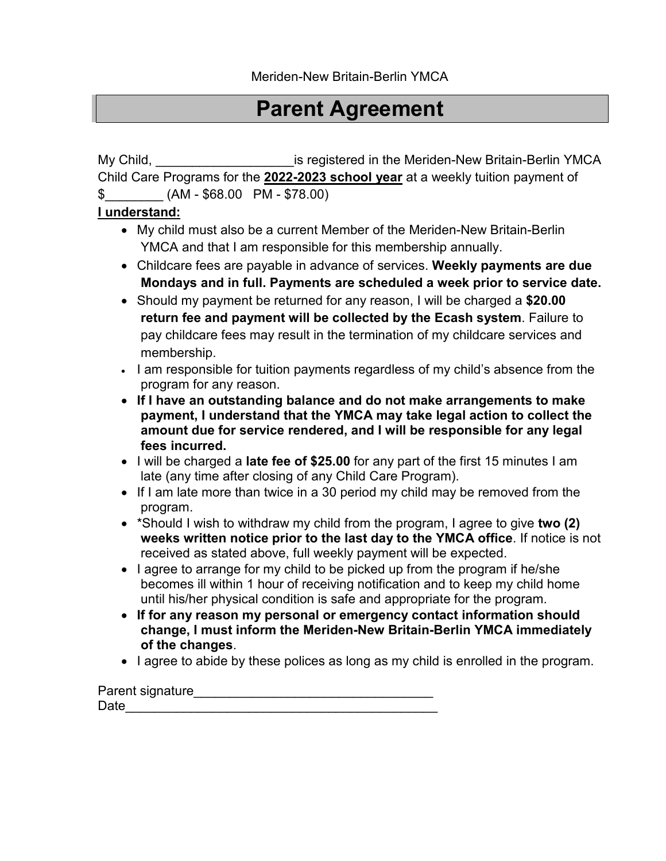# **Parent Agreement**

My Child, **Musical Example 2** are gistered in the Meriden-New Britain-Berlin YMCA Child Care Programs for the **2022-2023 school year** at a weekly tuition payment of

 $$$  (AM - \$68.00 PM - \$78.00)

### **I understand:**

- My child must also be a current Member of the Meriden-New Britain-Berlin YMCA and that I am responsible for this membership annually.
- Childcare fees are payable in advance of services. **Weekly payments are due Mondays and in full. Payments are scheduled a week prior to service date.**
- Should my payment be returned for any reason, I will be charged a **\$20.00 return fee and payment will be collected by the Ecash system**. Failure to pay childcare fees may result in the termination of my childcare services and membership.
- I am responsible for tuition payments regardless of my child's absence from the program for any reason.
- **If I have an outstanding balance and do not make arrangements to make payment, I understand that the YMCA may take legal action to collect the amount due for service rendered, and I will be responsible for any legal fees incurred.**
- I will be charged a **late fee of \$25.00** for any part of the first 15 minutes I am late (any time after closing of any Child Care Program).
- If I am late more than twice in a 30 period my child may be removed from the program.
- \*Should I wish to withdraw my child from the program, I agree to give **two (2) weeks written notice prior to the last day to the YMCA office**. If notice is not received as stated above, full weekly payment will be expected.
- I agree to arrange for my child to be picked up from the program if he/she becomes ill within 1 hour of receiving notification and to keep my child home until his/her physical condition is safe and appropriate for the program.
- **If for any reason my personal or emergency contact information should change, I must inform the Meriden-New Britain-Berlin YMCA immediately of the changes**.
- I agree to abide by these polices as long as my child is enrolled in the program.

Parent signature\_\_\_\_\_\_\_\_\_\_\_\_\_\_\_\_\_\_\_\_\_\_\_\_\_\_\_\_\_\_\_\_\_  $Date$   $\qquad \qquad$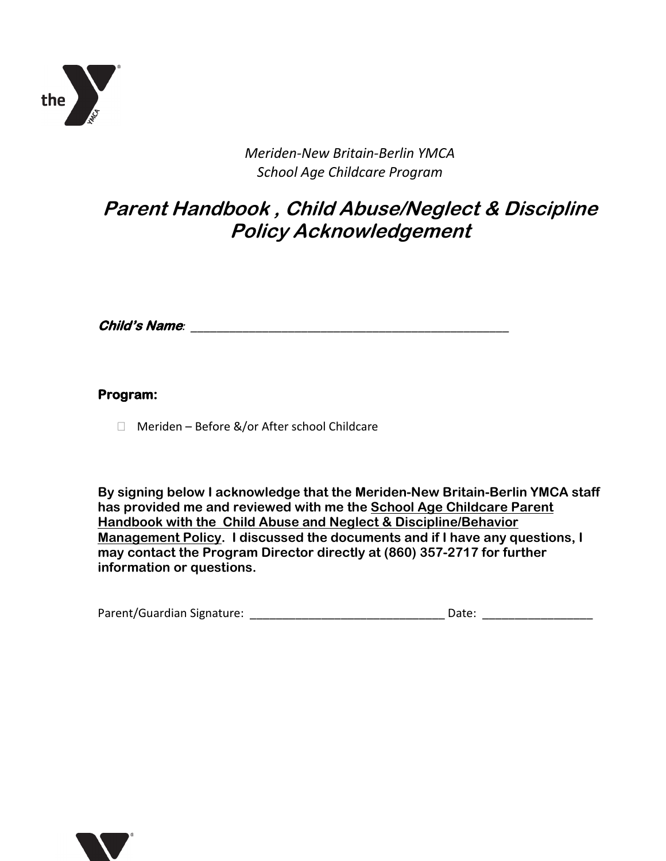

*Meriden-New Britain-Berlin YMCA School Age Childcare Program*

## **Parent Handbook , Child Abuse/Neglect & Discipline Policy Acknowledgement**

**Child's Name***: \_\_\_\_\_\_\_\_\_\_\_\_\_\_\_\_\_\_\_\_\_\_\_\_\_\_\_\_\_\_\_\_\_\_\_\_\_\_\_\_\_\_\_\_\_\_\_\_\_*

### **Program:**

□ Meriden – Before &/or After school Childcare

**By signing below I acknowledge that the Meriden-New Britain-Berlin YMCA staff has provided me and reviewed with me the School Age Childcare Parent Handbook with the Child Abuse and Neglect & Discipline/Behavior Management Policy. I discussed the documents and if I have any questions, I may contact the Program Director directly at (860) 357-2717 for further information or questions.**

| Parent/Guardian Signature: | Date: |  |
|----------------------------|-------|--|
|                            |       |  |